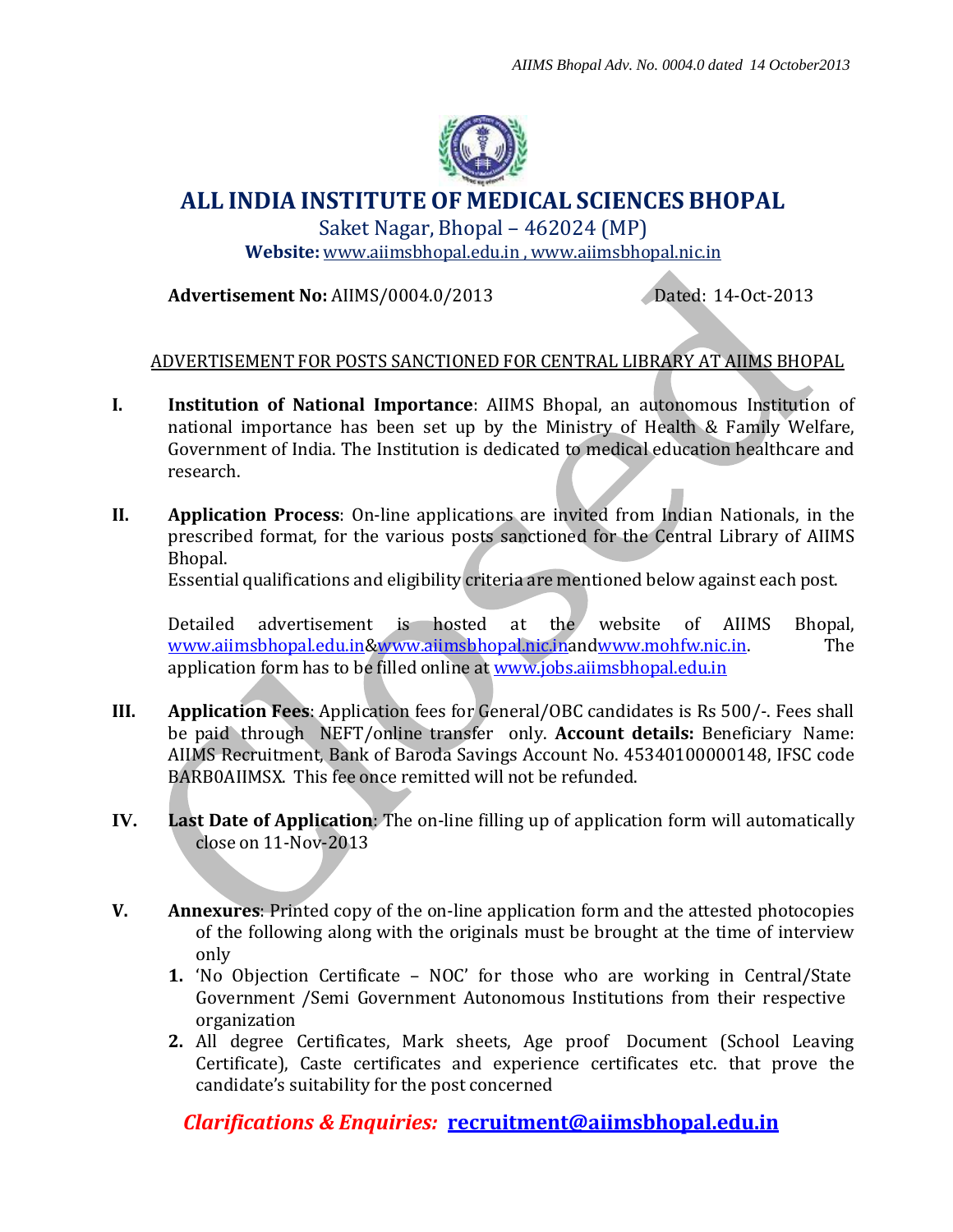

## **ALL INDIA INSTITUTE OF MEDICAL SCIENCES BHOPAL**

Saket Nagar, Bhopal – 462024 (MP) **Website:** [www.aiimsbhopal.edu.in](http://www.aiimsbhopal.edu.in/) , [www.aiimsbhopal.nic.in](http://www.aiimsbhopal.nic.in/)

**Advertisement No:** AIIMS/0004.0/2013 Dated: 14-Oct-2013

## ADVERTISEMENT FOR POSTS SANCTIONED FOR CENTRAL LIBRARY AT AIIMS BHOPAL

- **I. Institution of National Importance**: AIIMS Bhopal, an autonomous Institution of national importance has been set up by the Ministry of Health & Family Welfare, Government of India. The Institution is dedicated to medical education healthcare and research.
- **II. Application Process**: On-line applications are invited from Indian Nationals, in the prescribed format, for the various posts sanctioned for the Central Library of AIIMS Bhopal.

Essential qualifications and eligibility criteria are mentioned below against each post.

Detailed advertisement is hosted at the website of AIIMS Bhopal, [www.aiimsbhopal.edu.in](http://www.aiimsbhopal.edu.in/)[&www.aiimsbhopal.nic.ina](http://www.aiimsbhopal.nic.in/)n[dwww.mohfw.nic.in.](http://www.mohfw.nic.in/) The application form has to be filled online at [www.jobs.aiimsbhopal.edu.in](http://www.jobs.aiimsbhopal.edu.in/)

- **III. Application Fees**: Application fees for General/OBC candidates is Rs 500/-. Fees shall be paid through NEFT/online transfer only. **Account details:** Beneficiary Name: AIIMS Recruitment, Bank of Baroda Savings Account No. 45340100000148, IFSC code BARB0AIIMSX. This fee once remitted will not be refunded.
- **IV. Last Date of Application**: The on-line filling up of application form will automatically close on 11-Nov-2013
- **V. Annexures**: Printed copy of the on-line application form and the attested photocopies of the following along with the originals must be brought at the time of interview only
	- **1.** 'No Objection Certificate NOC' for those who are working in Central/State Government /Semi Government Autonomous Institutions from their respective organization
	- **2.** All degree Certificates, Mark sheets, Age proof Document (School Leaving Certificate), Caste certificates and experience certificates etc. that prove the candidate's suitability for the post concerned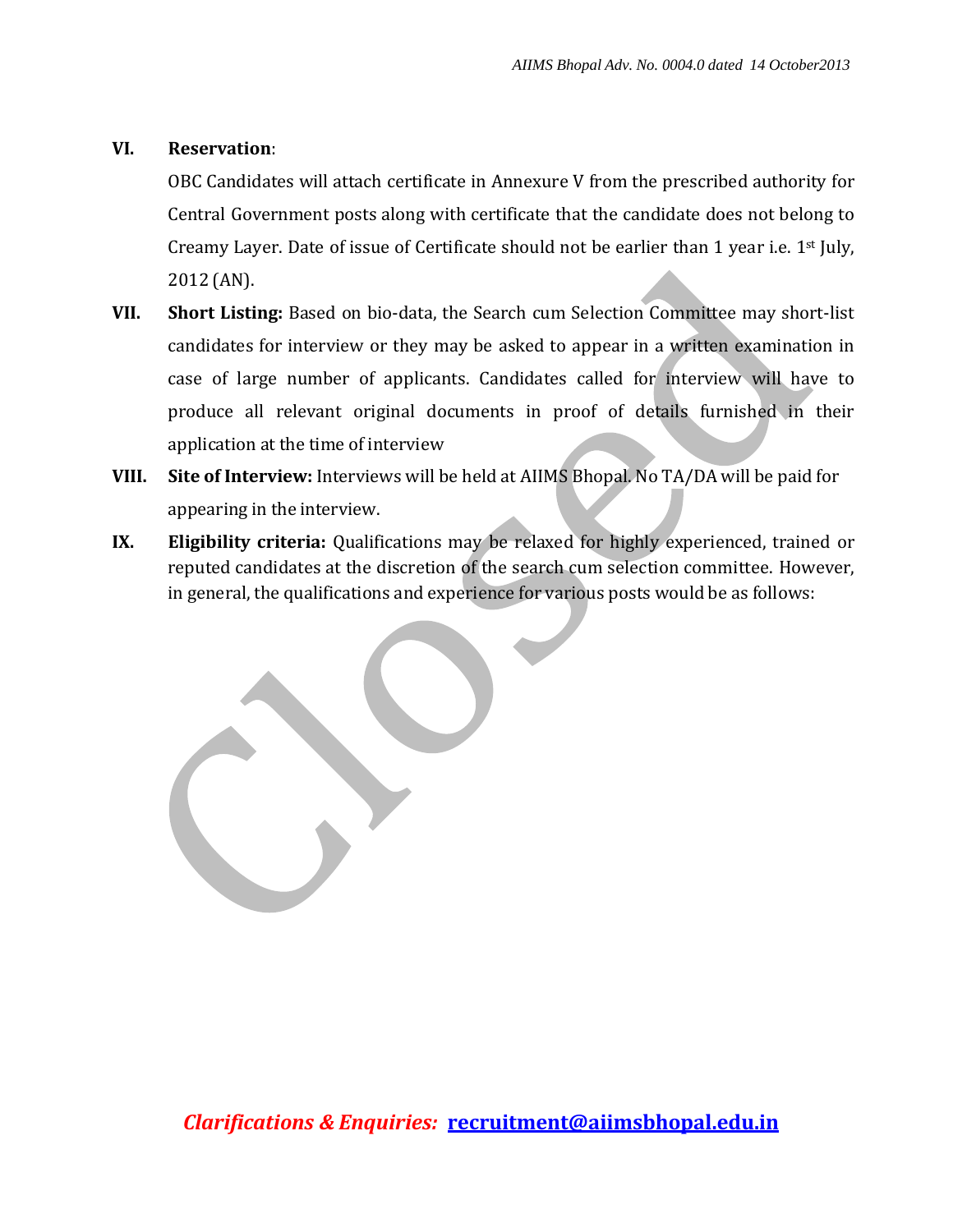## **VI. Reservation**:

OBC Candidates will attach certificate in Annexure V from the prescribed authority for Central Government posts along with certificate that the candidate does not belong to Creamy Layer. Date of issue of Certificate should not be earlier than 1 year i.e.  $1^{st}$  July, 2012 (AN).

- **VII. Short Listing:** Based on bio-data, the Search cum Selection Committee may short-list candidates for interview or they may be asked to appear in a written examination in case of large number of applicants. Candidates called for interview will have to produce all relevant original documents in proof of details furnished in their application at the time of interview
- **VIII. Site of Interview:** Interviews will be held at AIIMS Bhopal. No TA/DA will be paid for appearing in the interview.
- **IX. Eligibility criteria:** Qualifications may be relaxed for highly experienced, trained or reputed candidates at the discretion of the search cum selection committee. However, in general, the qualifications and experience for various posts would be as follows: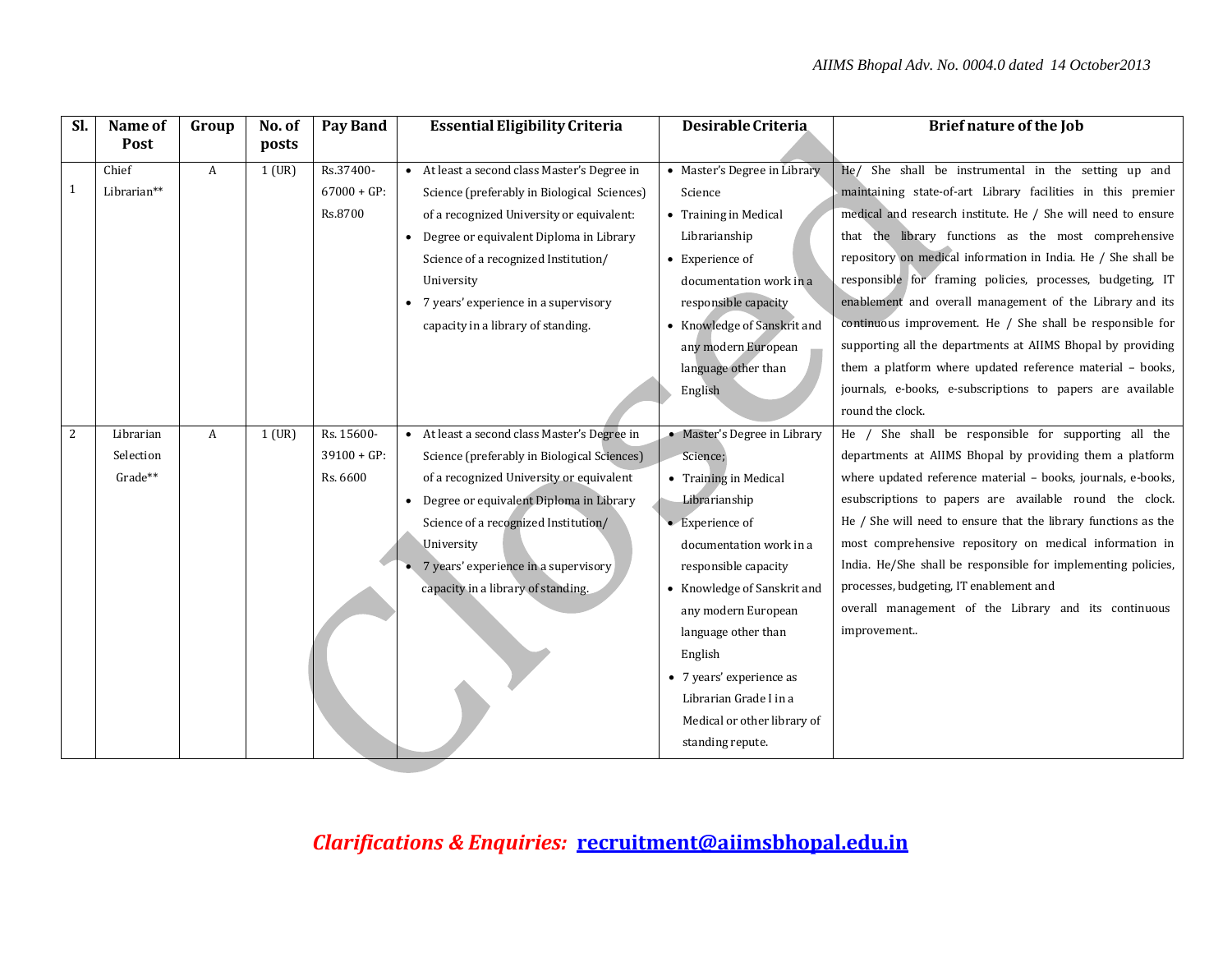| Sl. | Name of     | Group        | No. of   | Pay Band      | <b>Essential Eligibility Criteria</b>                | Desirable Criteria           | <b>Brief nature of the Job</b>                                 |
|-----|-------------|--------------|----------|---------------|------------------------------------------------------|------------------------------|----------------------------------------------------------------|
|     | Post        |              | posts    |               |                                                      |                              |                                                                |
|     | Chief       | A            | $1$ (UR) | Rs.37400-     | • At least a second class Master's Degree in         | • Master's Degree in Library | He/ She shall be instrumental in the setting up and            |
|     | Librarian** |              |          | $67000 + GP:$ | Science (preferably in Biological Sciences)          | Science                      | maintaining state-of-art Library facilities in this premier    |
|     |             |              |          | Rs.8700       | of a recognized University or equivalent:            | • Training in Medical        | medical and research institute. He / She will need to ensure   |
|     |             |              |          |               | Degree or equivalent Diploma in Library<br>$\bullet$ | Librarianship                | that the library functions as the most comprehensive           |
|     |             |              |          |               | Science of a recognized Institution/                 | • Experience of              | repository on medical information in India. He / She shall be  |
|     |             |              |          |               | University                                           | documentation work in a      | responsible for framing policies, processes, budgeting, IT     |
|     |             |              |          |               | 7 years' experience in a supervisory                 | responsible capacity         | enablement and overall management of the Library and its       |
|     |             |              |          |               | capacity in a library of standing.                   | • Knowledge of Sanskrit and  | continuous improvement. He / She shall be responsible for      |
|     |             |              |          |               |                                                      | any modern European          | supporting all the departments at AIIMS Bhopal by providing    |
|     |             |              |          |               |                                                      | language other than          | them a platform where updated reference material - books,      |
|     |             |              |          |               |                                                      | English                      | journals, e-books, e-subscriptions to papers are available     |
|     |             |              |          |               |                                                      |                              | round the clock.                                               |
| 2   | Librarian   | $\mathbf{A}$ | $1$ (UR) | Rs. 15600-    | • At least a second class Master's Degree in         | • Master's Degree in Library | She shall be responsible for supporting all the<br>$He$ /      |
|     | Selection   |              |          | $39100 + GP:$ | Science (preferably in Biological Sciences)          | Science;                     | departments at AIIMS Bhopal by providing them a platform       |
|     | Grade**     |              |          | Rs. 6600      | of a recognized University or equivalent             | • Training in Medical        | where updated reference material - books, journals, e-books,   |
|     |             |              |          |               | Degree or equivalent Diploma in Library<br>$\bullet$ | Librarianship                | esubscriptions to papers are available round the clock.        |
|     |             |              |          |               | Science of a recognized Institution/                 | $\bullet$ Experience of      | He / She will need to ensure that the library functions as the |
|     |             |              |          |               | University                                           | documentation work in a      | most comprehensive repository on medical information in        |
|     |             |              |          |               | 7 years' experience in a supervisory                 | responsible capacity         | India. He/She shall be responsible for implementing policies,  |
|     |             |              |          |               | capacity in a library of standing.                   | • Knowledge of Sanskrit and  | processes, budgeting, IT enablement and                        |
|     |             |              |          |               |                                                      | any modern European          | overall management of the Library and its continuous           |
|     |             |              |          |               |                                                      | language other than          | improvement                                                    |
|     |             |              |          |               |                                                      | English                      |                                                                |
|     |             |              |          |               |                                                      | • 7 years' experience as     |                                                                |
|     |             |              |          |               |                                                      | Librarian Grade I in a       |                                                                |
|     |             |              |          |               |                                                      | Medical or other library of  |                                                                |
|     |             |              |          |               |                                                      | standing repute.             |                                                                |
|     |             |              |          |               |                                                      |                              |                                                                |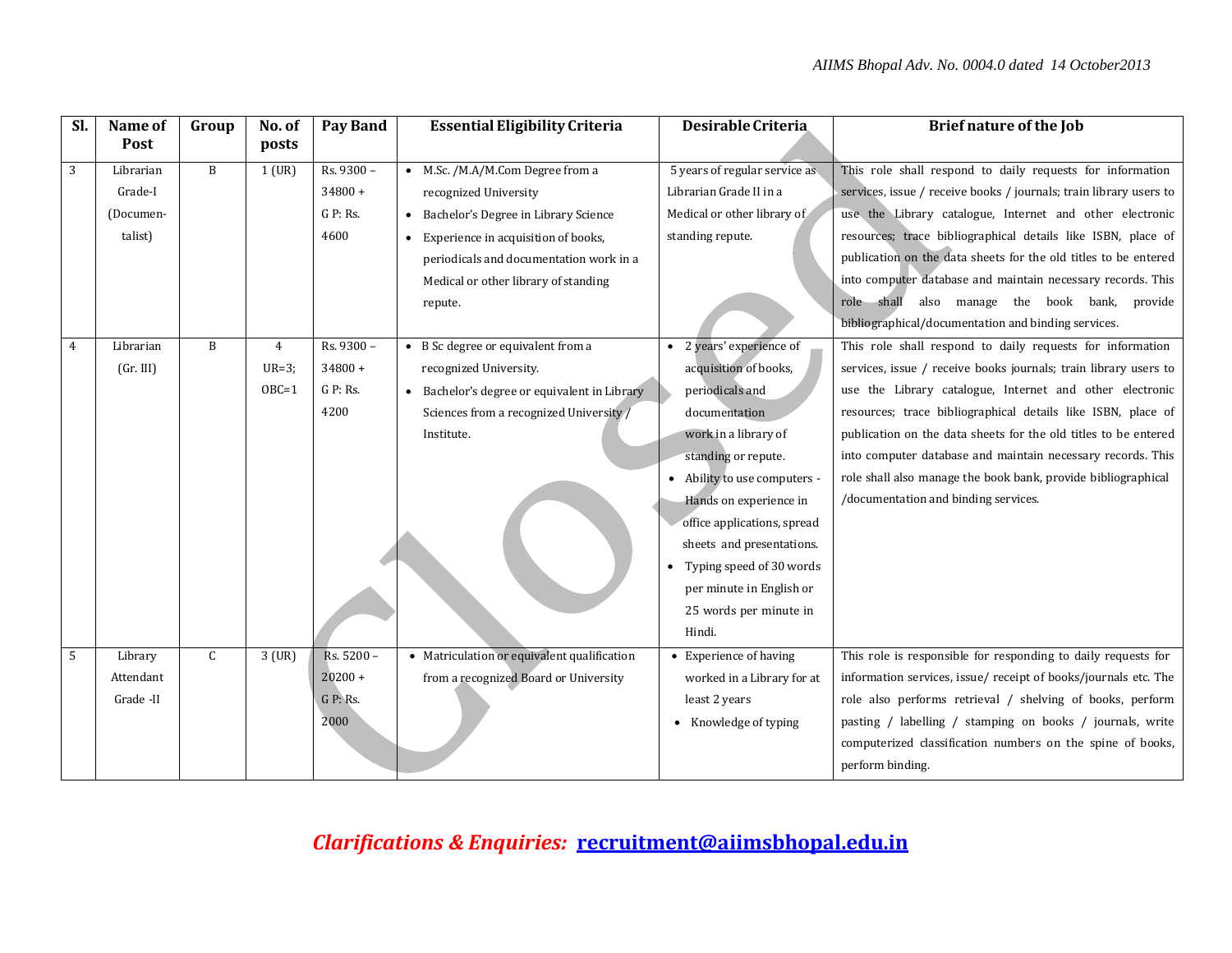| Sl.        | Name of   | Group | No. of   | <b>Pay Band</b> | <b>Essential Eligibility Criteria</b>        | Desirable Criteria            | <b>Brief nature of the Job</b>                                     |
|------------|-----------|-------|----------|-----------------|----------------------------------------------|-------------------------------|--------------------------------------------------------------------|
|            | Post      |       | posts    |                 |                                              |                               |                                                                    |
| $\sqrt{3}$ | Librarian | B     | $1$ (UR) | Rs. 9300 -      | • M.Sc. /M.A/M.Com Degree from a             | 5 years of regular service as | This role shall respond to daily requests for information          |
|            | Grade-I   |       |          | $34800 +$       | recognized University                        | Librarian Grade II in a       | services, issue / receive books / journals; train library users to |
|            | (Documen- |       |          | $G$ P: Rs.      | Bachelor's Degree in Library Science         | Medical or other library of   | use the Library catalogue, Internet and other electronic           |
|            | talist)   |       |          | 4600            | Experience in acquisition of books,          | standing repute.              | resources; trace bibliographical details like ISBN, place of       |
|            |           |       |          |                 | periodicals and documentation work in a      |                               | publication on the data sheets for the old titles to be entered    |
|            |           |       |          |                 | Medical or other library of standing         |                               | into computer database and maintain necessary records. This        |
|            |           |       |          |                 | repute.                                      |                               | role shall also manage the book bank, provide                      |
|            |           |       |          |                 |                                              |                               | bibliographical/documentation and binding services.                |
| 4          | Librarian | B     | 4        | Rs. 9300 -      | • B Sc degree or equivalent from a           | • 2 years' experience of      | This role shall respond to daily requests for information          |
|            | (Gr. III) |       | $UR=3$ ; | $34800 +$       | recognized University.                       | acquisition of books,         | services, issue / receive books journals; train library users to   |
|            |           |       | $OBC=1$  | $G$ P: Rs.      | • Bachelor's degree or equivalent in Library | periodicals and               | use the Library catalogue, Internet and other electronic           |
|            |           |       |          | 4200            | Sciences from a recognized University /      | documentation                 | resources; trace bibliographical details like ISBN, place of       |
|            |           |       |          |                 | Institute.                                   | work in a library of          | publication on the data sheets for the old titles to be entered    |
|            |           |       |          |                 |                                              | standing or repute.           | into computer database and maintain necessary records. This        |
|            |           |       |          |                 |                                              | • Ability to use computers -  | role shall also manage the book bank, provide bibliographical      |
|            |           |       |          |                 |                                              | Hands on experience in        | /documentation and binding services.                               |
|            |           |       |          |                 |                                              | office applications, spread   |                                                                    |
|            |           |       |          |                 |                                              | sheets and presentations.     |                                                                    |
|            |           |       |          |                 |                                              | Typing speed of 30 words      |                                                                    |
|            |           |       |          |                 |                                              | per minute in English or      |                                                                    |
|            |           |       |          |                 |                                              | 25 words per minute in        |                                                                    |
|            |           |       |          |                 |                                              | Hindi.                        |                                                                    |
| 5          | Library   | C     | $3$ (UR) | Rs. 5200 -      | • Matriculation or equivalent qualification  | • Experience of having        | This role is responsible for responding to daily requests for      |
|            | Attendant |       |          | $20200 +$       | from a recognized Board or University        | worked in a Library for at    | information services, issue/receipt of books/journals etc. The     |
|            | Grade -II |       |          | G P: Rs.        |                                              | least 2 years                 | role also performs retrieval / shelving of books, perform          |
|            |           |       |          | 2000            |                                              | • Knowledge of typing         | pasting / labelling / stamping on books / journals, write          |
|            |           |       |          |                 |                                              |                               | computerized classification numbers on the spine of books,         |
|            |           |       |          |                 |                                              |                               | perform binding.                                                   |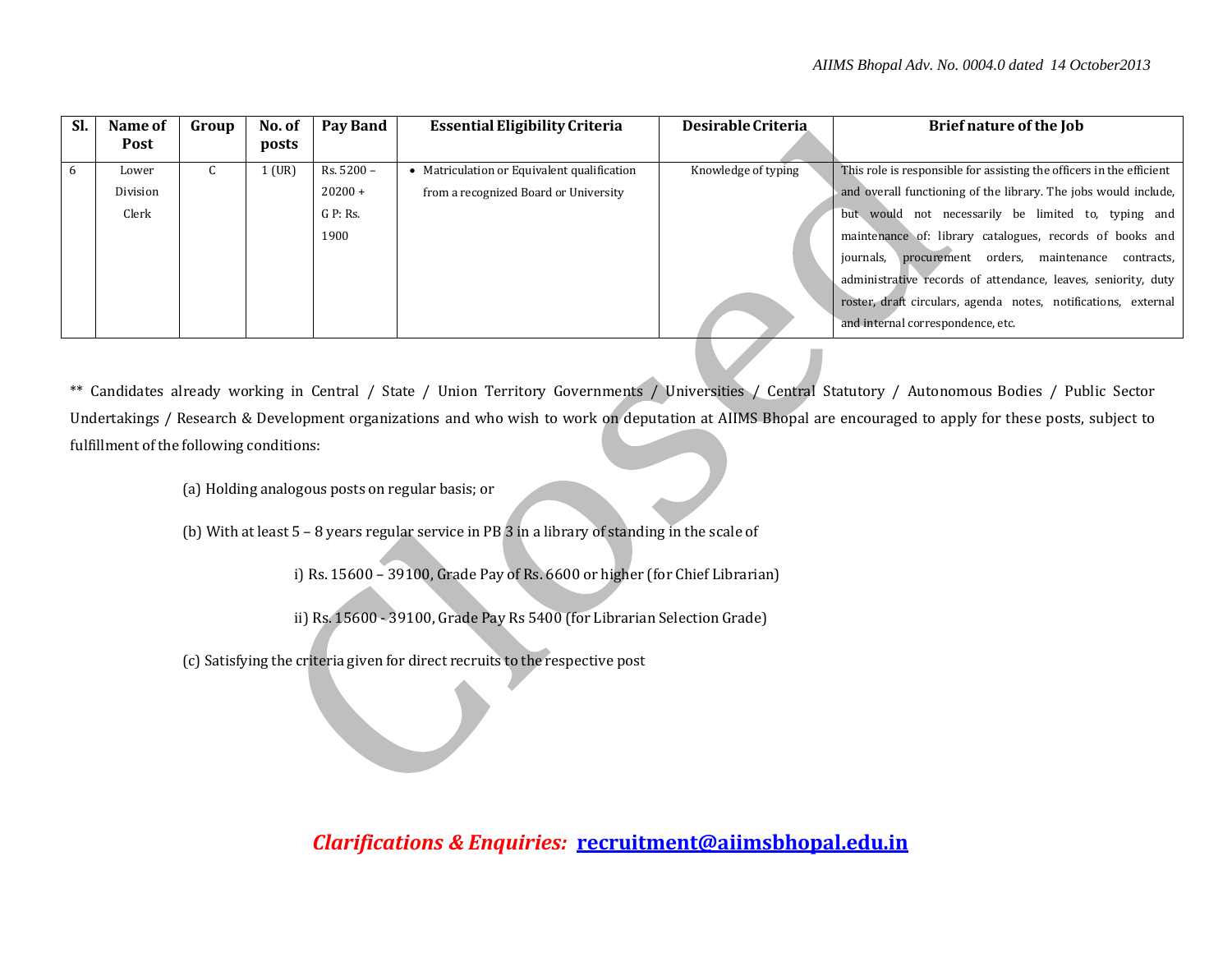| Sl. | Name of     | Group | No. of   | Pay Band          | <b>Essential Eligibility Criteria</b>     | Desirable Criteria  | Brief nature of the Job                                              |
|-----|-------------|-------|----------|-------------------|-------------------------------------------|---------------------|----------------------------------------------------------------------|
|     | <b>Post</b> |       | posts    |                   |                                           |                     |                                                                      |
|     | Lower       | u     | $L$ (UR) | Rs. 5200 -        | Matriculation or Equivalent qualification | Knowledge of typing | This role is responsible for assisting the officers in the efficient |
|     | Division    |       |          | $20200 +$         | from a recognized Board or University     |                     | and overall functioning of the library. The jobs would include,      |
|     | Clerk       |       |          | $G \cdot P$ : Rs. |                                           |                     | but would not necessarily be limited to, typing and                  |
|     |             |       |          | 1900              |                                           |                     | maintenance of: library catalogues, records of books and             |
|     |             |       |          |                   |                                           |                     | procurement orders, maintenance<br>journals,<br>contracts,           |
|     |             |       |          |                   |                                           |                     | administrative records of attendance, leaves, seniority, duty        |
|     |             |       |          |                   |                                           |                     | roster, draft circulars, agenda notes, notifications, external       |
|     |             |       |          |                   |                                           |                     | and internal correspondence, etc.                                    |

\*\* Candidates already working in Central / State / Union Territory Governments / Universities / Central Statutory / Autonomous Bodies / Public Sector Undertakings / Research & Development organizations and who wish to work on deputation at AIIMS Bhopal are encouraged to apply for these posts, subject to fulfillment of the following conditions:

(a) Holding analogous posts on regular basis; or

(b) With at least 5 – 8 years regular service in PB 3 in a library of standing in the scale of

i) Rs. 15600 – 39100, Grade Pay of Rs. 6600 or higher (for Chief Librarian)

ii) Rs. 15600 - 39100, Grade Pay Rs 5400 (for Librarian Selection Grade)

(c) Satisfying the criteria given for direct recruits to the respective post